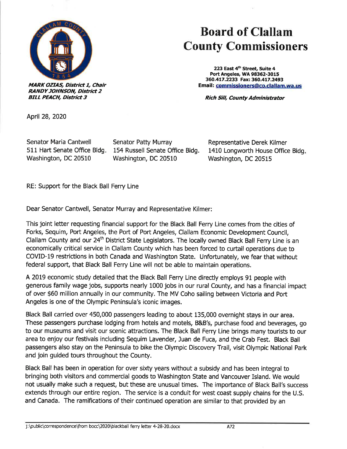

**MARK OZIAS, District 1, Chair RANDY JOHNSON, District 2 BILL PEACH, District 3** 

## Board of Clallam County Commissioners

223 East 4<sup>th</sup> Street, Suite 4 Port Angeles, WA 98362-3015 360.417.2233 Fax: 36O.4L7.2493 Email: commissioners@co.clallam.wa.us

Rich Sill, County Administrator

April28,2020

Senator Maria Cantwell 511 Hart Senate Office Bldg. Washington, DC 20510

Senator Patty Murray 154 Russell Senate Office Bldg. Washington, DC 20510

Representative Derek Kilmer 1410 Longworth House Office Bldg Washington, DC 20515

RE: Support for the Black Ball Ferry Line

Dear Senator Cantwell, Senator Murray and Representative Kilmer:

This joint letter requesting financial support for the Black Ball Ferry Line comes from the cities of Forks, Sequim, Port Angeles, the Port of Port Angeles, Clallam Economic Development Council, Clallam County and our 24<sup>th</sup> District State Legislators. The locally owned Black Ball Ferry Line is an economically critical seruice in Clallam County which has been forced to curtail operations due to COVID-l9 restrictions in both Canada and Washington State. Unfortunately, we fear that without federal support, that Black Ball Ferry Line will not be able to maintain operations.

A 2019 economic study detailed that the Black Ball Ferry Line directly employs 91 people with generous family wage jobs, supports nearly 1000 jobs in our rural County, and has a financial impact of over \$60 million annually in our community. The MV Coho sailing between Victoria and Port Angeles is one of the Olympic Peninsula's iconic images.

Black Ball carried over 450,000 passengers leading to about 135,000 overnight stays in our area. These passengers purchase lodging from hotels and motels, B&B's, purchase food and beverages, go to our museums and visit our scenic attractions. The Black Ball Ferry Line brings many tourists to our area to enjoy our festivals including Sequim Lavender, Juan de Fuca, and the Crab Fest. Black Ball passengers also stay on the Peninsula to bike the Olympic Discovery Trail, visit Olympic National Park and join guided tours throughout the County.

Black Ball has been in operation for over sixty years without a subsidy and has been integral to bringing both visitors and commercíal goods to Washington State and Vancouver Island. We would not usually make such a request, but these are unusual times. The importance of Black Ball's success extends through our entire region. The seruice is a conduit for west coast supply chains for the U.S. and Canada. The ramifications of their continued operation are similar to that provided by an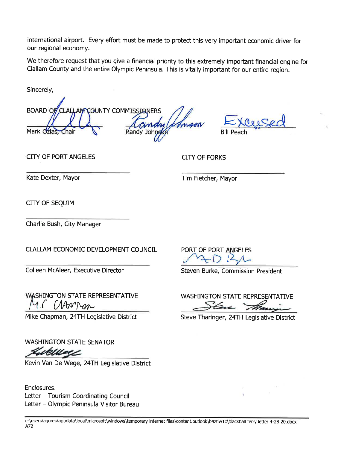international airport. Every effort must be made to protect this very important economic driver for our regional economy.

We therefore request that you give a financial priority to this extremely important fìnancial engine for Clallam County and the entire Olympic Peninsula. This is vitally important for our entire region.

Sincerely,

BOARD OF CLALLANT COUNTY COMMISSIONERS Mark Ozias, Chair (Sandy Johngon) Bill Peach

CITY OF PORT ANGELES CITY OF FORKS

Kate Dexter, Mayor Tim Fletcher, Mayor

CITY OF SEQUIM

Charlie Bush, City Manager

WASHINGTON STATE REPRESENTATIVE M.C. CAAPPAR

WASHINGTON STATE SENATOR

Kevin Van De Wege, 24TH Legislative District

Enclosures: Letter - Tourism Coordinating Council Letter - Olympic Peninsula Visitor Bureau

CLALLAM ECONOMIC DEVELOPMENT COUNCIL PORT OF PORT ANGELES

Colleen McAleer, Executive Director Steven Burke, Commission President

WASHINGTON STATE REPRESENTATIVE

Mike Chapman, 24TH Legislative District Steve Tharinger, 24TH Legislative District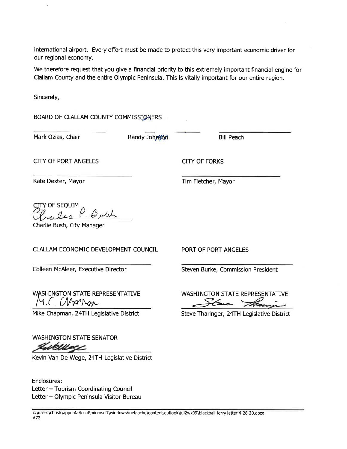international airport. Every effort must be made to protect this very important economic driver for our regional economy.

We therefore request that you give a financial priority to this extremely important financial engine for Clallam County and the entire Olympic Peninsula. This is vitally important for our entire region.

Sincerely,

BOARD OF CLALLAM COUNTY COMMISSIONERS

Mark Ozias, Chair **Randy Johngón** Bill Peach

CITY OF PORT ANGELES CITY OF FORKS

Kate Dexter, Mayor National Communication of the Tim Fletcher, Mayor

PORT OF PORT ANGELES

**CITY OF SEQUIM** re les P. Bush

Charlie Bush, City Manager

## CLALLAM ECONOMIC DEVELOPMENT COUNCIL

Colleen McAleer, Executive Director

WASHINGTON STATE REPRESENTATIVE M.C. CAARMAN

Mike Chapman, 24TH Legislative District

WASHINGTON STATE SENATOR

Kevin Van De Wege, 24TH Legislative District

Enclosures: Letter - Tourism Coordinating Council Letter - Olympic Peninsula Visitor Bureau

c:\users\cbush\appdata\local\microsoft\windows\inetcache\content.outlook\ui2wxO9\blackball ferry letter 4-28-20.docx 472

Steven Burke, Commission President

WASHINGTON STATE REPRESENTATIVE Here they

Steve Tharinger, 24TH Legislative District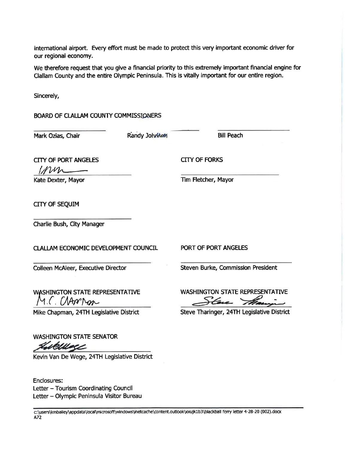international airport. Every effort must be made to protect this very important economic driver for our regional economy.

We therefore request that you give a financial priority to this extremely important financial engine for Clallam County and the entire Olympic Peninsula. This is vitally impoftant for our entire region.

Sincerely,

## BOARD OF CLALLAM COUNTY COMMISSIONERS

Letter - Olympic Peninsula Visitor Bureau

| Mark Ozias, Chair                                                                                 | Randy Johnson | <b>Bill Peach</b>                                                                                |
|---------------------------------------------------------------------------------------------------|---------------|--------------------------------------------------------------------------------------------------|
| <b>CITY OF PORT ANGELES</b><br>invn                                                               |               | <b>CITY OF FORKS</b>                                                                             |
| Kate Dexter, Mayor                                                                                |               | Tim Fletcher, Mayor                                                                              |
| <b>CITY OF SEQUIM</b>                                                                             |               |                                                                                                  |
| Charlie Bush, City Manager                                                                        |               |                                                                                                  |
| CLALLAM ECONOMIC DEVELOPMENT COUNCIL                                                              |               | PORT OF PORT ANGELES                                                                             |
| Colleen McAleer, Executive Director                                                               |               | Steven Burke, Commission President                                                               |
| <b>WASHINGTON STATE REPRESENTATIVE</b><br>1.C. CAANDAR<br>Mike Chapman, 24TH Legislative District |               | <b>WASHINGTON STATE REPRESENTATIVE</b><br>tere the<br>Steve Tharinger, 24TH Legislative District |
|                                                                                                   |               |                                                                                                  |
| <b>WASHINGTON STATE SENATOR</b>                                                                   |               |                                                                                                  |
| Kevin Van De Wege, 24TH Legislative District                                                      |               |                                                                                                  |
| <b>Enclosures:</b><br>Letter - Tourism Coordinating Council                                       |               |                                                                                                  |

c:\users\kmbailey\appdata\local\microsoft\windows\inetcache\content.outlook\xxujk1b3\blackball ferry letter 4-28-20 (002).docx A72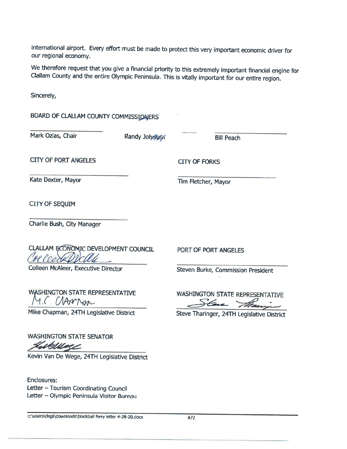international aírport. Every effort must be made to protect this very important economic driver for our regional economy.

We therefore request that you give a financial priority to this extremely important financial engine for Clallam County and the entire Olympic Peninsula. This is vitally important for our entire region.

Sincerely,

| BOARD OF CLALLAM COUNTY COMMISSIONERS                                                                    |               |                                                    |
|----------------------------------------------------------------------------------------------------------|---------------|----------------------------------------------------|
| Mark Ozias, Chair                                                                                        | Randy Johnson | <b>Bill Peach</b>                                  |
| <b>CITY OF PORT ANGELES</b>                                                                              |               | <b>CITY OF FORKS</b>                               |
| Kate Dexter, Mayor                                                                                       |               | Tim Fletcher, Mayor                                |
| CITY OF SEQUIM                                                                                           |               |                                                    |
| Charlie Bush, City Manager                                                                               |               |                                                    |
| CLALLAM ECONOMIC DEVELOPMENT COUNCIL                                                                     |               | PORT OF PORT ANGELES                               |
| Colleen McAleer, Executive Director                                                                      |               | Steven Burke, Commission President                 |
| WASHINGTON STATE REPRESENTATIVE<br>(AAnnon                                                               |               | <b>WASHINGTON STATE REPRESENTATIVE</b><br>Face The |
| Mike Chapman, 24TH Legislative District                                                                  |               | Steve Tharinger, 24TH Legislative District         |
| <b>WASHINGTON STATE SENATOR</b><br>newae                                                                 |               |                                                    |
| Kevin Van De Wege, 24TH Legislative District                                                             |               |                                                    |
| <b>Enclosures:</b><br>Letter - Tourism Coordinating Council<br>Letter - Olympic Peninsula Visitor Bureau |               |                                                    |

c:\users\degil\downloads\blackball ferry letter 4-28-20.docx A72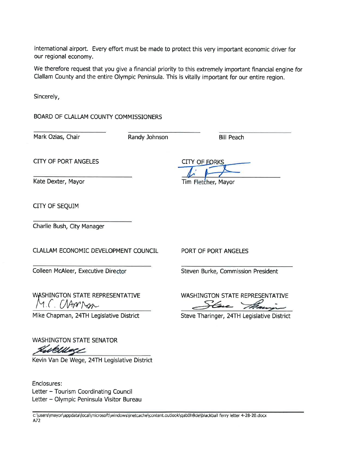international aírport. Every effort must be made to protect this very important economic driver for our regional economy.

We therefore request that you give a financial priority to this extremely important financial engine for Clallam County and the entire Olympic Peninsula. This is vítally important for our entire region.

Sincerely,

BOARD OF CLALLAM COUNTY COMMISSIONERS

Mark Ozias, Chair **Randy Johnson** Bill Peach

CITY OF PORT ANGELES CITY OF FORKS

Kate Dexter, Mayor Tim Fletcher, Mayor

CITY OF SEQUIM

Charlie Bush, City Manager

CI.ALI.AM ECONOMIC DEVELOPMENT COUNCIL PORT OF PORT ANGELES

WASHINGTON STATE REPRESENTATIVE

Mike Chapman, 24TH Legislative District Steve Tharinger, 24TH Legislative District

WASHINGTON STATE SENATOR Gillbelle

Kevin Van De Wege, 24TH Legislative District

Enclosures: Letter - Tourism Coordinating Council Letter - Olympic Peninsula Visitor Bureau

Colleen McAleer, Executive Director Steven Burke, Commission President

VASHINGTON STATE REPRESENTATIVE<br>M.C. (MATMOR

c:\users\mayor\appdata\local\microsoft\windows\netcache\content.ouUook\qab0h9de\blackball ferry letter 4-28-20.docx 472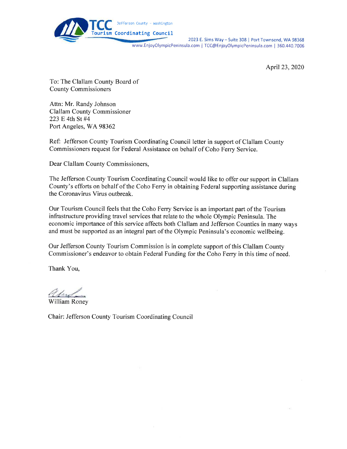

2023 E. Sims Way - Suite 308 | Port Townsend, WA 98368 www.EnjoyOlympicPeninsula.com | TCC@EnjoyOlympicPeninsula.com | 360.440.7006

April23,2020

To: The Clallam County Board of County Commissioners

Attn: Mr. Randy Johnson Clallam County Commissioner 223 E 4th St #4 Port Angeles, WA 98362

Ref: Jefferson County Tourism Coordinating Council letter in support of Clallam County Commissioners request for Federal Assistance on behalf of Coho Ferry Service.

Dear Clallam County Commissioners,

The Jefferson County Tourism Coordinating Council would like to offer our support in Clallam County's efforts on behalf of the Coho Ferry in obtaining Federal supporting assistance during the Coronavirus Virus outbreak.

Our Tourism Council feels that the Coho Ferry Service is an important part of the Tourism infrastructure providing travel services that relate to the whole Olympic Peninsula. The economic importance of this service affects both Clallam and Jefferson Counties in many ways and must be supported as an integral part of the Olympic Peninsula's economic wellbeing.

Our Jefferson County Tourism Commission is in complete support of this Clallam County Commissioner's endeavor to obtain Federal Funding for the Coho Ferry in this time of need.

Thank You,

Ulint-

William Roney

Chair: Jefferson County Tourism Coordinating Council